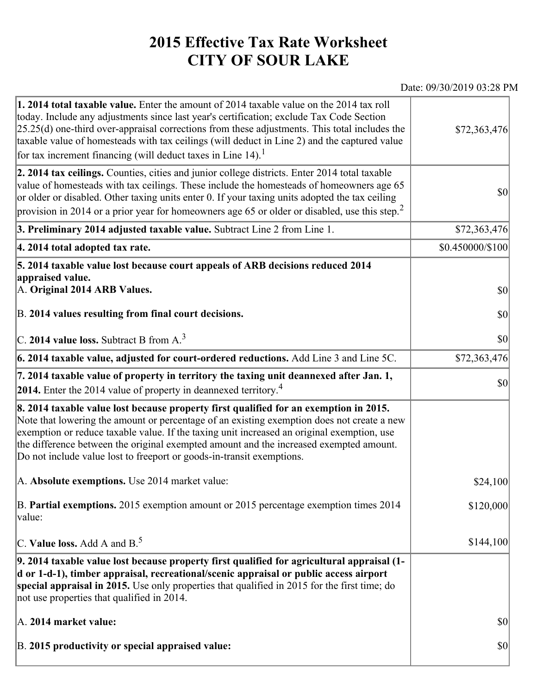## **2015 Effective Tax Rate Worksheet CITY OF SOUR LAKE**

## Date: 09/30/2019 03:28 PM

| 1. 2014 total taxable value. Enter the amount of 2014 taxable value on the 2014 tax roll<br>today. Include any adjustments since last year's certification; exclude Tax Code Section<br>$[25.25(d)$ one-third over-appraisal corrections from these adjustments. This total includes the<br>taxable value of homesteads with tax ceilings (will deduct in Line 2) and the captured value<br>for tax increment financing (will deduct taxes in Line $14$ ). <sup>1</sup> | \$72,363,476     |
|-------------------------------------------------------------------------------------------------------------------------------------------------------------------------------------------------------------------------------------------------------------------------------------------------------------------------------------------------------------------------------------------------------------------------------------------------------------------------|------------------|
| 2. 2014 tax ceilings. Counties, cities and junior college districts. Enter 2014 total taxable<br>value of homesteads with tax ceilings. These include the homesteads of homeowners age 65<br>or older or disabled. Other taxing units enter 0. If your taxing units adopted the tax ceiling<br>provision in 2014 or a prior year for homeowners age 65 or older or disabled, use this step. <sup>2</sup>                                                                | 30               |
| 3. Preliminary 2014 adjusted taxable value. Subtract Line 2 from Line 1.                                                                                                                                                                                                                                                                                                                                                                                                | \$72,363,476     |
| 4. 2014 total adopted tax rate.                                                                                                                                                                                                                                                                                                                                                                                                                                         | \$0.450000/\$100 |
| 5. 2014 taxable value lost because court appeals of ARB decisions reduced 2014<br>appraised value.<br>A. Original 2014 ARB Values.                                                                                                                                                                                                                                                                                                                                      | $ 10\rangle$     |
| B. 2014 values resulting from final court decisions.                                                                                                                                                                                                                                                                                                                                                                                                                    | $ 10\rangle$     |
| C. 2014 value loss. Subtract B from $A3$                                                                                                                                                                                                                                                                                                                                                                                                                                | \$0              |
| 6. 2014 taxable value, adjusted for court-ordered reductions. Add Line 3 and Line 5C.                                                                                                                                                                                                                                                                                                                                                                                   | \$72,363,476     |
| 7. 2014 taxable value of property in territory the taxing unit deannexed after Jan. 1,<br><b>2014.</b> Enter the 2014 value of property in deannexed territory. <sup>4</sup>                                                                                                                                                                                                                                                                                            | $ 10\rangle$     |
| 8. 2014 taxable value lost because property first qualified for an exemption in 2015.<br>Note that lowering the amount or percentage of an existing exemption does not create a new<br>exemption or reduce taxable value. If the taxing unit increased an original exemption, use<br>the difference between the original exempted amount and the increased exempted amount.<br>Do not include value lost to freeport or goods-in-transit exemptions.                    |                  |
| A. Absolute exemptions. Use 2014 market value:                                                                                                                                                                                                                                                                                                                                                                                                                          | \$24,100         |
| B. Partial exemptions. 2015 exemption amount or 2015 percentage exemption times 2014<br>value:                                                                                                                                                                                                                                                                                                                                                                          | \$120,000        |
| C. Value loss. Add A and $B^5$ .                                                                                                                                                                                                                                                                                                                                                                                                                                        | \$144,100        |
| 9. 2014 taxable value lost because property first qualified for agricultural appraisal (1-<br>d or 1-d-1), timber appraisal, recreational/scenic appraisal or public access airport<br>special appraisal in 2015. Use only properties that qualified in 2015 for the first time; do<br>not use properties that qualified in 2014.                                                                                                                                       |                  |
| A. 2014 market value:                                                                                                                                                                                                                                                                                                                                                                                                                                                   | $ 10\rangle$     |
| B. 2015 productivity or special appraised value:                                                                                                                                                                                                                                                                                                                                                                                                                        | $ 10\rangle$     |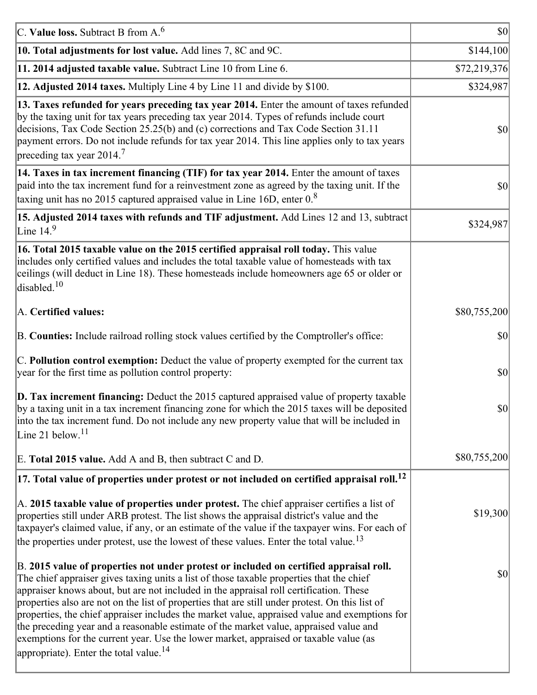| C. Value loss. Subtract B from $A6$                                                                                                                                                                                                                                                                                                                                                                                                                                                                                                                                                                                                                                                                                      | <b>\$0</b>   |
|--------------------------------------------------------------------------------------------------------------------------------------------------------------------------------------------------------------------------------------------------------------------------------------------------------------------------------------------------------------------------------------------------------------------------------------------------------------------------------------------------------------------------------------------------------------------------------------------------------------------------------------------------------------------------------------------------------------------------|--------------|
| 10. Total adjustments for lost value. Add lines 7, 8C and 9C.                                                                                                                                                                                                                                                                                                                                                                                                                                                                                                                                                                                                                                                            | \$144,100    |
| 11. 2014 adjusted taxable value. Subtract Line 10 from Line 6.                                                                                                                                                                                                                                                                                                                                                                                                                                                                                                                                                                                                                                                           | \$72,219,376 |
| 12. Adjusted 2014 taxes. Multiply Line 4 by Line 11 and divide by \$100.                                                                                                                                                                                                                                                                                                                                                                                                                                                                                                                                                                                                                                                 | \$324,987    |
| 13. Taxes refunded for years preceding tax year 2014. Enter the amount of taxes refunded<br>by the taxing unit for tax years preceding tax year 2014. Types of refunds include court<br>decisions, Tax Code Section 25.25(b) and (c) corrections and Tax Code Section 31.11<br>payment errors. Do not include refunds for tax year 2014. This line applies only to tax years<br>preceding tax year 2014. <sup>7</sup>                                                                                                                                                                                                                                                                                                    | \$0          |
| 14. Taxes in tax increment financing (TIF) for tax year 2014. Enter the amount of taxes<br>paid into the tax increment fund for a reinvestment zone as agreed by the taxing unit. If the<br>taxing unit has no 2015 captured appraised value in Line 16D, enter $0.8$                                                                                                                                                                                                                                                                                                                                                                                                                                                    | 30           |
| 15. Adjusted 2014 taxes with refunds and TIF adjustment. Add Lines 12 and 13, subtract<br>Line $14.9$                                                                                                                                                                                                                                                                                                                                                                                                                                                                                                                                                                                                                    | \$324,987    |
| 16. Total 2015 taxable value on the 2015 certified appraisal roll today. This value<br>includes only certified values and includes the total taxable value of homesteads with tax<br>ceilings (will deduct in Line 18). These homesteads include homeowners age 65 or older or<br>disabled. <sup>10</sup>                                                                                                                                                                                                                                                                                                                                                                                                                |              |
| A. Certified values:                                                                                                                                                                                                                                                                                                                                                                                                                                                                                                                                                                                                                                                                                                     | \$80,755,200 |
| B. Counties: Include railroad rolling stock values certified by the Comptroller's office:                                                                                                                                                                                                                                                                                                                                                                                                                                                                                                                                                                                                                                | \$0          |
| C. Pollution control exemption: Deduct the value of property exempted for the current tax<br>year for the first time as pollution control property:                                                                                                                                                                                                                                                                                                                                                                                                                                                                                                                                                                      | $ 10\rangle$ |
| $\vert$ D. Tax increment financing: Deduct the 2015 captured appraised value of property taxable<br>by a taxing unit in a tax increment financing zone for which the 2015 taxes will be deposited<br>into the tax increment fund. Do not include any new property value that will be included in<br>Line 21 below. $11$                                                                                                                                                                                                                                                                                                                                                                                                  | \$0          |
| E. Total 2015 value. Add A and B, then subtract C and D.                                                                                                                                                                                                                                                                                                                                                                                                                                                                                                                                                                                                                                                                 | \$80,755,200 |
| $ 17$ . Total value of properties under protest or not included on certified appraisal roll. <sup>12</sup>                                                                                                                                                                                                                                                                                                                                                                                                                                                                                                                                                                                                               |              |
| A. 2015 taxable value of properties under protest. The chief appraiser certifies a list of<br>properties still under ARB protest. The list shows the appraisal district's value and the<br>taxpayer's claimed value, if any, or an estimate of the value if the taxpayer wins. For each of<br>the properties under protest, use the lowest of these values. Enter the total value. <sup>13</sup>                                                                                                                                                                                                                                                                                                                         | \$19,300     |
| B. 2015 value of properties not under protest or included on certified appraisal roll.<br>The chief appraiser gives taxing units a list of those taxable properties that the chief<br>appraiser knows about, but are not included in the appraisal roll certification. These<br>properties also are not on the list of properties that are still under protest. On this list of<br>properties, the chief appraiser includes the market value, appraised value and exemptions for<br>the preceding year and a reasonable estimate of the market value, appraised value and<br>exemptions for the current year. Use the lower market, appraised or taxable value (as<br>appropriate). Enter the total value. <sup>14</sup> | \$0          |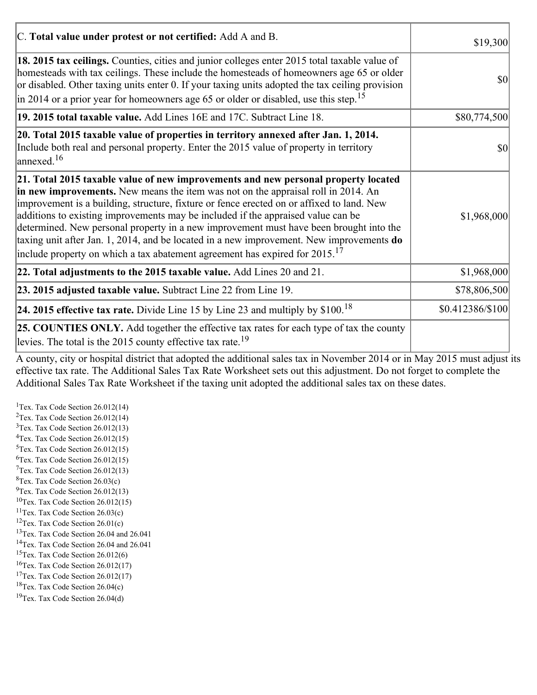| C. Total value under protest or not certified: Add A and B.                                                                                                                                                                                                                                                                                                                                                                                                                                                                                                                                                                                  | \$19,300         |
|----------------------------------------------------------------------------------------------------------------------------------------------------------------------------------------------------------------------------------------------------------------------------------------------------------------------------------------------------------------------------------------------------------------------------------------------------------------------------------------------------------------------------------------------------------------------------------------------------------------------------------------------|------------------|
| 18. 2015 tax ceilings. Counties, cities and junior colleges enter 2015 total taxable value of<br>homesteads with tax ceilings. These include the homesteads of homeowners age 65 or older<br>or disabled. Other taxing units enter 0. If your taxing units adopted the tax ceiling provision<br>in 2014 or a prior year for homeowners age 65 or older or disabled, use this step. <sup>15</sup>                                                                                                                                                                                                                                             | \$0              |
| 19. 2015 total taxable value. Add Lines 16E and 17C. Subtract Line 18.                                                                                                                                                                                                                                                                                                                                                                                                                                                                                                                                                                       | \$80,774,500     |
| 20. Total 2015 taxable value of properties in territory annexed after Jan. 1, 2014.<br>Include both real and personal property. Enter the 2015 value of property in territory<br>$\text{lanned}$ . <sup>16</sup>                                                                                                                                                                                                                                                                                                                                                                                                                             | 10               |
| 21. Total 2015 taxable value of new improvements and new personal property located<br>in new improvements. New means the item was not on the appraisal roll in 2014. An<br>improvement is a building, structure, fixture or fence erected on or affixed to land. New<br>additions to existing improvements may be included if the appraised value can be<br>determined. New personal property in a new improvement must have been brought into the<br>taxing unit after Jan. 1, 2014, and be located in a new improvement. New improvements do<br>include property on which a tax abatement agreement has expired for $2015$ . <sup>17</sup> | \$1,968,000      |
| 22. Total adjustments to the 2015 taxable value. Add Lines 20 and 21.                                                                                                                                                                                                                                                                                                                                                                                                                                                                                                                                                                        | \$1,968,000      |
| 23. 2015 adjusted taxable value. Subtract Line 22 from Line 19.                                                                                                                                                                                                                                                                                                                                                                                                                                                                                                                                                                              | \$78,806,500     |
| <b>24. 2015 effective tax rate.</b> Divide Line 15 by Line 23 and multiply by $$100$ . <sup>18</sup>                                                                                                                                                                                                                                                                                                                                                                                                                                                                                                                                         | \$0.412386/\$100 |
| <b>25. COUNTIES ONLY.</b> Add together the effective tax rates for each type of tax the county<br>levies. The total is the 2015 county effective tax rate. <sup>19</sup>                                                                                                                                                                                                                                                                                                                                                                                                                                                                     |                  |

A county, city or hospital district that adopted the additional sales tax in November 2014 or in May 2015 must adjust its effective tax rate. The Additional Sales Tax Rate Worksheet sets out this adjustment. Do not forget to complete the Additional Sales Tax Rate Worksheet if the taxing unit adopted the additional sales tax on these dates.

<sup>1</sup>Tex. Tax Code Section  $26.012(14)$ <sup>2</sup>Tex. Tax Code Section  $26.012(14)$  $3$ Tex. Tax Code Section 26.012(13)  ${}^{4}$ Tex. Tax Code Section 26.012(15)  $5$ Tex. Tax Code Section 26.012(15)  ${}^{6}$ Tex. Tax Code Section 26.012(15)  $7$ Tex. Tax Code Section 26.012(13)  ${}^{8}$ Tex. Tax Code Section 26.03(c)  $^{9}$ Tex. Tax Code Section 26.012(13)  $10$ Tex. Tax Code Section 26.012(15) <sup>11</sup>Tex. Tax Code Section  $26.03(c)$ <sup>12</sup>Tex. Tax Code Section  $26.01(c)$ <sup>13</sup>Tex. Tax Code Section 26.04 and 26.041 <sup>14</sup>Tex. Tax Code Section 26.04 and 26.041 <sup>15</sup>Tex. Tax Code Section  $26.012(6)$  $16$ Tex. Tax Code Section 26.012(17) <sup>17</sup>Tex. Tax Code Section  $26.012(17)$ <sup>18</sup>Tex. Tax Code Section 26.04(c) <sup>19</sup>Tex. Tax Code Section 26.04(d)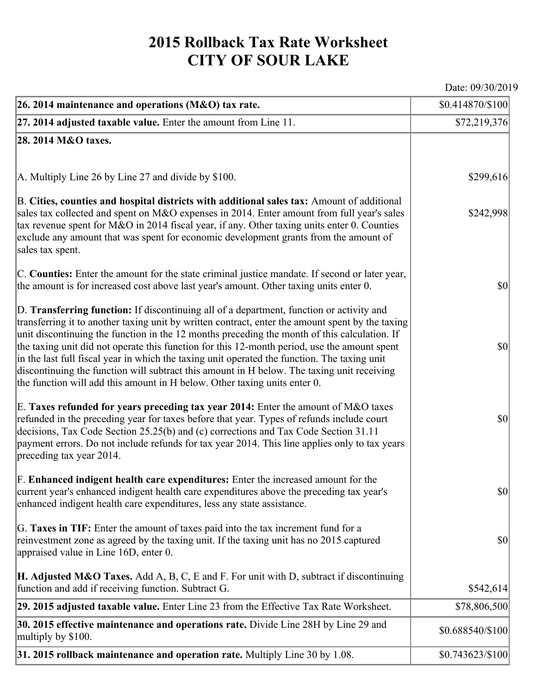## **2015 Rollback Tax Rate Worksheet CITY OF SOUR LAKE**

Date: 09/30/2019

| 26. 2014 maintenance and operations (M&O) tax rate.                                                                                                                                                                                                                                                                                                                                                                                                                                                                                                                                                                                                                     | \$0.414870/\$100                    |
|-------------------------------------------------------------------------------------------------------------------------------------------------------------------------------------------------------------------------------------------------------------------------------------------------------------------------------------------------------------------------------------------------------------------------------------------------------------------------------------------------------------------------------------------------------------------------------------------------------------------------------------------------------------------------|-------------------------------------|
| 27. 2014 adjusted taxable value. Enter the amount from Line 11.                                                                                                                                                                                                                                                                                                                                                                                                                                                                                                                                                                                                         | \$72,219,376                        |
| 28. 2014 M&O taxes.                                                                                                                                                                                                                                                                                                                                                                                                                                                                                                                                                                                                                                                     |                                     |
|                                                                                                                                                                                                                                                                                                                                                                                                                                                                                                                                                                                                                                                                         |                                     |
| A. Multiply Line 26 by Line 27 and divide by \$100.                                                                                                                                                                                                                                                                                                                                                                                                                                                                                                                                                                                                                     | \$299,616                           |
| B. Cities, counties and hospital districts with additional sales tax: Amount of additional<br>sales tax collected and spent on M&O expenses in 2014. Enter amount from full year's sales<br>tax revenue spent for M&O in 2014 fiscal year, if any. Other taxing units enter 0. Counties<br>exclude any amount that was spent for economic development grants from the amount of<br>sales tax spent.                                                                                                                                                                                                                                                                     | \$242,998                           |
| C. Counties: Enter the amount for the state criminal justice mandate. If second or later year,<br>the amount is for increased cost above last year's amount. Other taxing units enter 0.                                                                                                                                                                                                                                                                                                                                                                                                                                                                                | $ 10\rangle$                        |
| D. Transferring function: If discontinuing all of a department, function or activity and<br>transferring it to another taxing unit by written contract, enter the amount spent by the taxing<br>unit discontinuing the function in the 12 months preceding the month of this calculation. If<br>the taxing unit did not operate this function for this 12-month period, use the amount spent<br>in the last full fiscal year in which the taxing unit operated the function. The taxing unit<br>discontinuing the function will subtract this amount in H below. The taxing unit receiving<br>the function will add this amount in H below. Other taxing units enter 0. | $ 10\rangle$                        |
| E. Taxes refunded for years preceding tax year 2014: Enter the amount of $M&O$ taxes<br>refunded in the preceding year for taxes before that year. Types of refunds include court<br>decisions, Tax Code Section 25.25(b) and (c) corrections and Tax Code Section 31.11<br>payment errors. Do not include refunds for tax year 2014. This line applies only to tax years<br>preceding tax year 2014.                                                                                                                                                                                                                                                                   | \$0                                 |
| F. Enhanced indigent health care expenditures: Enter the increased amount for the<br>current year's enhanced indigent health care expenditures above the preceding tax year's<br>enhanced indigent health care expenditures, less any state assistance.                                                                                                                                                                                                                                                                                                                                                                                                                 | $\vert \mathbf{S} \mathbf{0} \vert$ |
| G. Taxes in TIF: Enter the amount of taxes paid into the tax increment fund for a<br>reinvestment zone as agreed by the taxing unit. If the taxing unit has no 2015 captured<br>appraised value in Line 16D, enter 0.                                                                                                                                                                                                                                                                                                                                                                                                                                                   | $ 10\rangle$                        |
| <b>H. Adjusted M&amp;O Taxes.</b> Add A, B, C, E and F. For unit with D, subtract if discontinuing<br>function and add if receiving function. Subtract G.                                                                                                                                                                                                                                                                                                                                                                                                                                                                                                               | \$542,614                           |
| 29. 2015 adjusted taxable value. Enter Line 23 from the Effective Tax Rate Worksheet.                                                                                                                                                                                                                                                                                                                                                                                                                                                                                                                                                                                   | \$78,806,500                        |
| 30. 2015 effective maintenance and operations rate. Divide Line 28H by Line 29 and<br>multiply by \$100.                                                                                                                                                                                                                                                                                                                                                                                                                                                                                                                                                                | \$0.688540/\$100                    |
| 31. 2015 rollback maintenance and operation rate. Multiply Line 30 by 1.08.                                                                                                                                                                                                                                                                                                                                                                                                                                                                                                                                                                                             | \$0.743623/\$100                    |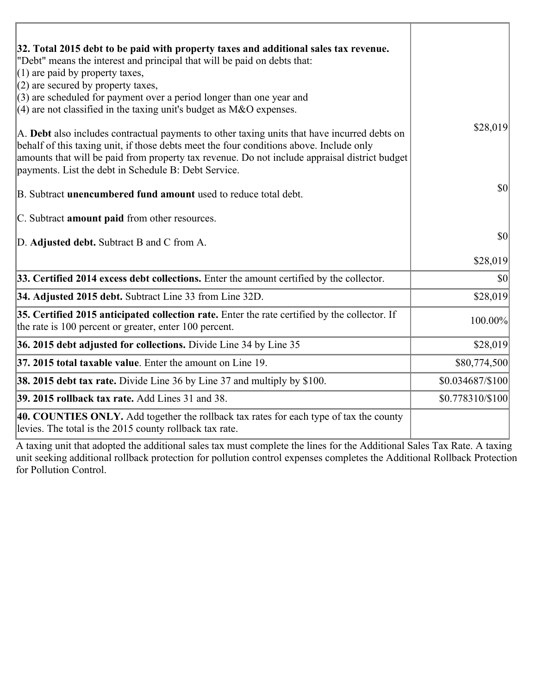| 32. Total 2015 debt to be paid with property taxes and additional sales tax revenue.<br>"Debt" means the interest and principal that will be paid on debts that:<br>$(1)$ are paid by property taxes,                                                                                                                                            |                  |
|--------------------------------------------------------------------------------------------------------------------------------------------------------------------------------------------------------------------------------------------------------------------------------------------------------------------------------------------------|------------------|
| $(2)$ are secured by property taxes,                                                                                                                                                                                                                                                                                                             |                  |
| $(3)$ are scheduled for payment over a period longer than one year and<br>$(4)$ are not classified in the taxing unit's budget as M&O expenses.                                                                                                                                                                                                  |                  |
| A. Debt also includes contractual payments to other taxing units that have incurred debts on<br>behalf of this taxing unit, if those debts meet the four conditions above. Include only<br>amounts that will be paid from property tax revenue. Do not include appraisal district budget<br>payments. List the debt in Schedule B: Debt Service. | \$28,019         |
| B. Subtract unencumbered fund amount used to reduce total debt.                                                                                                                                                                                                                                                                                  | \$0              |
| C. Subtract amount paid from other resources.                                                                                                                                                                                                                                                                                                    |                  |
| D. Adjusted debt. Subtract B and C from A.                                                                                                                                                                                                                                                                                                       | \$0              |
|                                                                                                                                                                                                                                                                                                                                                  | \$28,019         |
| 33. Certified 2014 excess debt collections. Enter the amount certified by the collector.                                                                                                                                                                                                                                                         | $ 10\rangle$     |
| 34. Adjusted 2015 debt. Subtract Line 33 from Line 32D.                                                                                                                                                                                                                                                                                          | \$28,019         |
| 35. Certified 2015 anticipated collection rate. Enter the rate certified by the collector. If<br>the rate is 100 percent or greater, enter 100 percent.                                                                                                                                                                                          | 100.00%          |
| 36. 2015 debt adjusted for collections. Divide Line 34 by Line 35                                                                                                                                                                                                                                                                                | \$28,019         |
| 37. 2015 total taxable value. Enter the amount on Line 19.                                                                                                                                                                                                                                                                                       | \$80,774,500     |
| 38. 2015 debt tax rate. Divide Line 36 by Line 37 and multiply by \$100.                                                                                                                                                                                                                                                                         | \$0.034687/\$100 |
| 39. 2015 rollback tax rate. Add Lines 31 and 38.                                                                                                                                                                                                                                                                                                 | \$0.778310/\$100 |
| 40. COUNTIES ONLY. Add together the rollback tax rates for each type of tax the county<br>levies. The total is the 2015 county rollback tax rate.                                                                                                                                                                                                |                  |

A taxing unit that adopted the additional sales tax must complete the lines for the Additional Sales Tax Rate. A taxing unit seeking additional rollback protection for pollution control expenses completes the Additional Rollback Protection for Pollution Control.